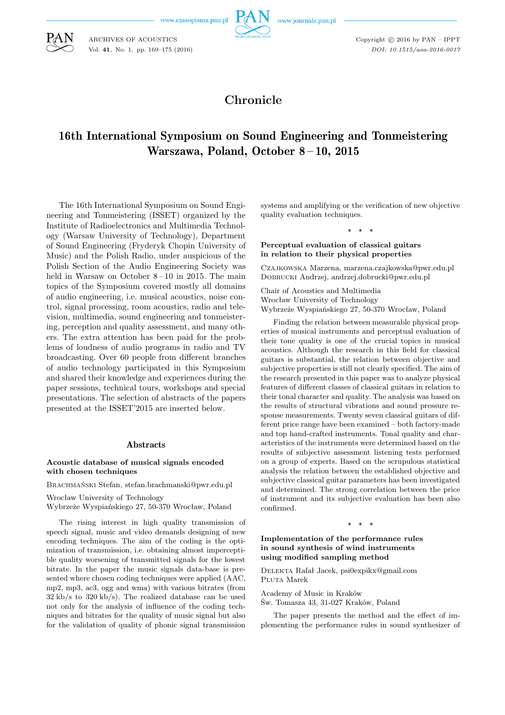www.czasopisma.pan.pl

ARCHIVES OF ACOUSTICS Vol. **41**, No. 1, pp. 169–175 (2016)



www.journals.pan.pl

Copyright  $\odot$  2016 by PAN - IPPT *DOI: 10.1515/aoa-2016-0017*

# **Chronicle**

# 16th International Symposium on Sound Engineering and Tonmeistering Warszawa, Poland, October 8-10, 2015

The 16th International Symposium on Sound Engineering and Tonmeistering (ISSET) organized by the Institute of Radioelectronics and Multimedia Technology (Warsaw University of Technology), Department of Sound Engineering (Fryderyk Chopin University of Music) and the Polish Radio, under auspicious of the Polish Section of the Audio Engineering Society was held in Warsaw on October  $8-10$  in 2015. The main topics of the Symposium covered mostly all domains of audio engineering, i.e. musical acoustics, noise control, signal processing, room acoustics, radio and television, multimedia, sound engineering and tonmeistering, perception and quality assessment, and many others. The extra attention has been paid for the problems of loudness of audio programs in radio and TV broadcasting. Over 60 people from different branches of audio technology participated in this Symposium and shared their knowledge and experiences during the paper sessions, technical tours, workshops and special presentations. The selection of abstracts of the papers presented at the ISSET'2015 are inserted below.

# **Abstracts**

### **Acoustic database of musical signals encoded with chosen techniques**

Brachmański Stefan, stefan.brachmanski@pwr.edu.pl

Wrocław University of Technology Wybrzeże Wyspiańskiego 27, 50-370 Wrocław, Poland

The rising interest in high quality transmission of speech signal, music and video demands designing of new encoding techniques. The aim of the coding is the optimization of transmission, i.e. obtaining almost imperceptible quality worsening of transmitted signals for the lowest bitrate. In the paper the music signals data-base is presented where chosen coding techniques were applied (AAC, mp2, mp3, ac3, ogg and wma) with various bitrates (from 32 kb/s to 320 kb/s). The realized database can be used not only for the analysis of influence of the coding techniques and bitrates for the quality of music signal but also for the validation of quality of phonic signal transmission systems and amplifying or the verification of new objective quality evaluation techniques.

⋆ ⋆ ⋆

### **Perceptual evaluation of classical guitars in relation to their physical properties**

Czajkowska Marzena, marzena.czajkowska@pwr.edu.pl Dobrucki Andrzej, andrzej.dobrucki@pwr.edu.pl

Chair of Acoustics and Multimedia Wrocław University of Technology Wybrzeże Wyspiańskiego 27, 50-370 Wrocław, Poland

Finding the relation between measurable physical properties of musical instruments and perceptual evaluation of their tone quality is one of the crucial topics in musical acoustics. Although the research in this field for classical guitars is substantial, the relation between objective and subjective properties is still not clearly specified. The aim of the research presented in this paper was to analyze physical features of different classes of classical guitars in relation to their tonal character and quality. The analysis was based on the results of structural vibrations and sound pressure response measurements. Twenty seven classical guitars of different price range have been examined – both factory-made and top hand-crafted instruments. Tonal quality and characteristics of the instruments were determined based on the results of subjective assessment listening tests performed on a group of experts. Based on the scrupulous statistical analysis the relation between the established objective and subjective classical guitar parameters has been investigated and determined. The strong correlation between the price of instrument and its subjective evaluation has been also confirmed.

### $\star$

### **Implementation of the performance rules in sound synthesis of wind instruments using modified sampling method**

Delekta Rafał Jacek, psi0expikx@gmail.com Pluta Marek

Academy of Music in Kraków Św. Tomasza 43, 31-027 Kraków, Poland

The paper presents the method and the effect of implementing the performance rules in sound synthesizer of

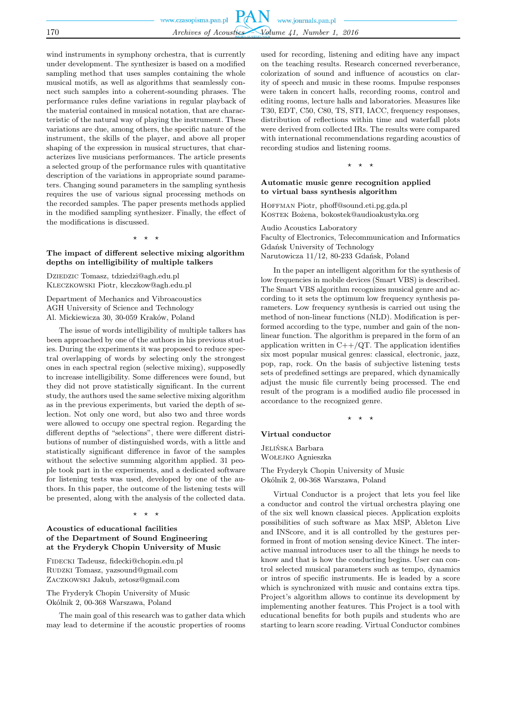|     | www.czasopisma.pan.pl $PAN$ www.journals.pan.pl |
|-----|-------------------------------------------------|
|     |                                                 |
| 170 | Archives of Acoustics Volume 41, Number 1, 2016 |

wind instruments in symphony orchestra, that is currently under development. The synthesizer is based on a modified sampling method that uses samples containing the whole musical motifs, as well as algorithms that seamlessly connect such samples into a coherent-sounding phrases. The performance rules define variations in regular playback of the material contained in musical notation, that are characteristic of the natural way of playing the instrument. These variations are due, among others, the specific nature of the instrument, the skills of the player, and above all proper shaping of the expression in musical structures, that characterizes live musicians performances. The article presents a selected group of the performance rules with quantitative description of the variations in appropriate sound parameters. Changing sound parameters in the sampling synthesis requires the use of various signal processing methods on the recorded samples. The paper presents methods applied in the modified sampling synthesizer. Finally, the effect of the modifications is discussed.

⋆ ⋆ ⋆

### **The impact of different selective mixing algorithm depths on intelligibility of multiple talkers**

Dziedzic Tomasz, tdziedzi@agh.edu.pl Kleczkowski Piotr, kleczkow@agh.edu.pl

Department of Mechanics and Vibroacoustics AGH University of Science and Technology Al. Mickiewicza 30, 30-059 Kraków, Poland

The issue of words intelligibility of multiple talkers has been approached by one of the authors in his previous studies. During the experiments it was proposed to reduce spectral overlapping of words by selecting only the strongest ones in each spectral region (selective mixing), supposedly to increase intelligibility. Some differences were found, but they did not prove statistically significant. In the current study, the authors used the same selective mixing algorithm as in the previous experiments, but varied the depth of selection. Not only one word, but also two and three words were allowed to occupy one spectral region. Regarding the different depths of "selections", there were different distributions of number of distinguished words, with a little and statistically significant difference in favor of the samples without the selective summing algorithm applied. 31 people took part in the experiments, and a dedicated software for listening tests was used, developed by one of the authors. In this paper, the outcome of the listening tests will be presented, along with the analysis of the collected data.

 $\star$   $\star$ 

### **Acoustics of educational facilities of the Department of Sound Engineering at the Fryderyk Chopin University of Music**

Fidecki Tadeusz, fidecki@chopin.edu.pl RUDZKI Tomasz, yazsound@gmail.com Zaczkowski Jakub, zetosz@gmail.com

The Fryderyk Chopin University of Music Okólnik 2, 00-368 Warszawa, Poland

The main goal of this research was to gather data which may lead to determine if the acoustic properties of rooms used for recording, listening and editing have any impact on the teaching results. Research concerned reverberance, colorization of sound and influence of acoustics on clarity of speech and music in these rooms. Impulse responses were taken in concert halls, recording rooms, control and editing rooms, lecture halls and laboratories. Measures like T30, EDT, C50, C80, TS, STI, IACC, frequency responses, distribution of reflections within time and waterfall plots were derived from collected IRs. The results were compared with international recommendations regarding acoustics of recording studios and listening rooms.

⋆ ⋆ ⋆

### **Automatic music genre recognition applied to virtual bass synthesis algorithm**

HOFFMAN Piotr, phoff@sound.eti.pg.gda.pl Kostek Bożena, bokostek@audioakustyka.org

Audio Acoustics Laboratory Faculty of Electronics, Telecommunication and Informatics Gdańsk University of Technology Narutowicza 11/12, 80-233 Gdańsk, Poland

In the paper an intelligent algorithm for the synthesis of low frequencies in mobile devices (Smart VBS) is described. The Smart VBS algorithm recognizes musical genre and according to it sets the optimum low frequency synthesis parameters. Low frequency synthesis is carried out using the method of non-linear functions (NLD). Modification is performed according to the type, number and gain of the nonlinear function. The algorithm is prepared in the form of an application written in  $C++/QT$ . The application identifies six most popular musical genres: classical, electronic, jazz, pop, rap, rock. On the basis of subjective listening tests sets of predefined settings are prepared, which dynamically adjust the music file currently being processed. The end result of the program is a modified audio file processed in accordance to the recognized genre.

⋆ ⋆ ⋆

### **Virtual conductor**

Jelińska Barbara Wołejko Agnieszka

The Fryderyk Chopin University of Music Okólnik 2, 00-368 Warszawa, Poland

Virtual Conductor is a project that lets you feel like a conductor and control the virtual orchestra playing one of the six well known classical pieces. Application exploits possibilities of such software as Max MSP, Ableton Live and INScore, and it is all controlled by the gestures performed in front of motion sensing device Kinect. The interactive manual introduces user to all the things he needs to know and that is how the conducting begins. User can control selected musical parameters such as tempo, dynamics or intros of specific instruments. He is leaded by a score which is synchronized with music and contains extra tips. Project's algorithm allows to continue its development by implementing another features. This Project is a tool with educational benefits for both pupils and students who are starting to learn score reading. Virtual Conductor combines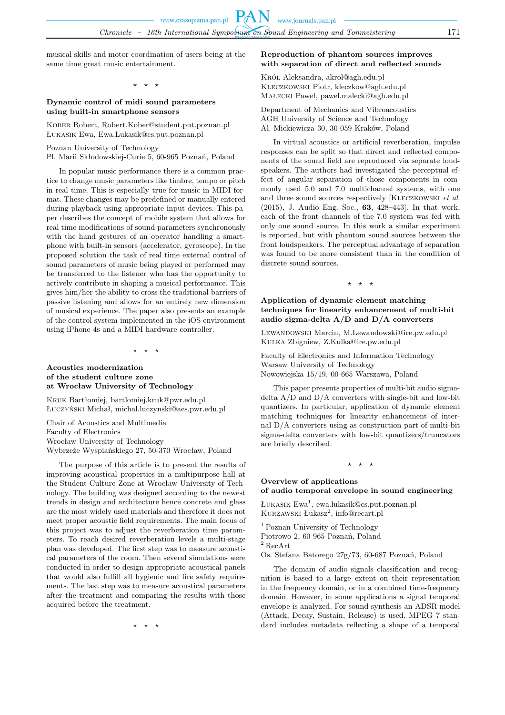musical skills and motor coordination of users being at the same time great music entertainment.

 $\star$   $\star$ 

### **Dynamic control of midi sound parameters using built-in smartphone sensors**

KOBER Robert, Robert.Kober@student.put.poznan.pl Łukasik Ewa, Ewa.Lukasik@cs.put.poznan.pl

Poznan University of Technology

Pl. Marii Skłodowskiej-Curie 5, 60-965 Poznań, Poland

In popular music performance there is a common practice to change music parameters like timbre, tempo or pitch in real time. This is especially true for music in MIDI format. These changes may be predefined or manually entered during playback using appropriate input devices. This paper describes the concept of mobile system that allows for real time modifications of sound parameters synchronously with the hand gestures of an operator handling a smartphone with built-in sensors (accelerator, gyroscope). In the proposed solution the task of real time external control of sound parameters of music being played or performed may be transferred to the listener who has the opportunity to actively contribute in shaping a musical performance. This gives him/her the ability to cross the traditional barriers of passive listening and allows for an entirely new dimension of musical experience. The paper also presents an example of the control system implemented in the iOS environment using iPhone 4s and a MIDI hardware controller.

 $\rightarrow$ 

### **Acoustics modernization of the student culture zone at Wrocław University of Technology**

Kruk Bartłomiej, bartlomiej.kruk@pwr.edu.pl Łuczyński Michał, michal.luczynski@aes.pwr.edu.pl

Chair of Acoustics and Multimedia Faculty of Electronics Wrocław University of Technology Wybrzeże Wyspiańskiego 27, 50-370 Wrocław, Poland

The purpose of this article is to present the results of improving acoustical properties in a multipurpose hall at the Student Culture Zone at Wrocław University of Technology. The building was designed according to the newest trends in design and architecture hence concrete and glass are the most widely used materials and therefore it does not meet proper acoustic field requirements. The main focus of this project was to adjust the reverberation time parameters. To reach desired reverberation levels a multi-stage plan was developed. The first step was to measure acoustical parameters of the room. Then several simulations were conducted in order to design appropriate acoustical panels that would also fulfill all hygienic and fire safety requirements. The last step was to measure acoustical parameters after the treatment and comparing the results with those acquired before the treatment.

⋆ ⋆ ⋆

### **Reproduction of phantom sources improves with separation of direct and reflected sounds**

Król Aleksandra, akrol@agh.edu.pl Kleczkowski Piotr, kleczkow@agh.edu.pl Małecki Paweł, pawel.malecki@agh.edu.pl

Department of Mechanics and Vibroacoustics AGH University of Science and Technology Al. Mickiewicza 30, 30-059 Kraków, Poland

In virtual acoustics or artificial reverberation, impulse responses can be split so that direct and reflected components of the sound field are reproduced via separate loudspeakers. The authors had investigated the perceptual effect of angular separation of those components in commonly used 5.0 and 7.0 multichannel systems, with one and three sound sources respectively [Kleczkowski *et al*. (2015), J. Audio Eng. Soc., **63**, 428–443]. In that work, each of the front channels of the 7.0 system was fed with only one sound source. In this work a similar experiment is reported, but with phantom sound sources between the front loudspeakers. The perceptual advantage of separation was found to be more consistent than in the condition of discrete sound sources.

 $\star$   $\star$ 

### **Application of dynamic element matching techniques for linearity enhancement of multi-bit audio sigma-delta A/D and D/A converters**

Lewandowski Marcin, M.Lewandowski@ire.pw.edu.pl Kulka Zbigniew, Z.Kulka@ire.pw.edu.pl

Faculty of Electronics and Information Technology Warsaw University of Technology Nowowiejska 15/19, 00-665 Warszawa, Poland

This paper presents properties of multi-bit audio sigmadelta A/D and D/A converters with single-bit and low-bit quantizers. In particular, application of dynamic element matching techniques for linearity enhancement of internal D/A converters using as construction part of multi-bit sigma-delta converters with low-bit quantizers/truncators are briefly described.

⋆ ⋆ ⋆

# **Overview of applications of audio temporal envelope in sound engineering**

Łukasik Ewa<sup>1</sup>, ewa.lukasik@cs.put.poznan.pl KURZAWSKI Łukasz<sup>2</sup>, info@recart.pl

<sup>1</sup> Poznan University of Technology

Piotrowo 2, 60-965 Poznań, Poland

 $2$  RecArt

Os. Stefana Batorego 27g/73, 60-687 Poznań, Poland

The domain of audio signals classification and recognition is based to a large extent on their representation in the frequency domain, or in a combined time-frequency domain. However, in some applications a signal temporal envelope is analyzed. For sound synthesis an ADSR model (Attack, Decay, Sustain, Release) is used. MPEG 7 standard includes metadata reflecting a shape of a temporal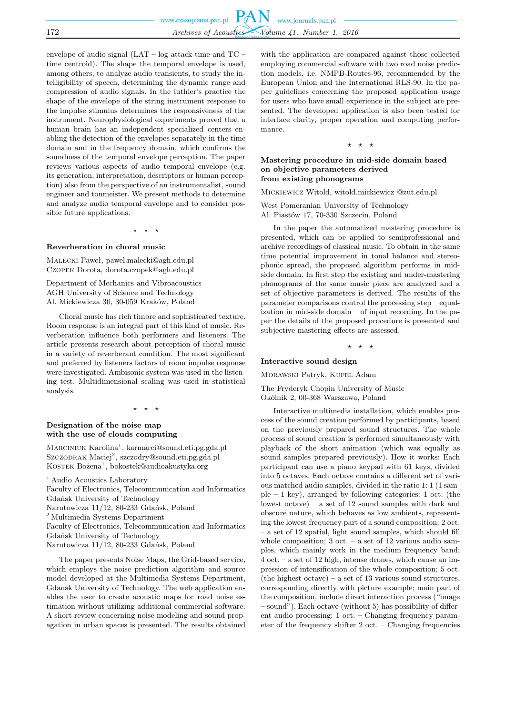|     | www.czasopisma.pan.pl $PAN$ www.journals.pan.pl |                                                 |  |
|-----|-------------------------------------------------|-------------------------------------------------|--|
| 172 |                                                 | Archives of Acoustics Volume 41, Number 1, 2016 |  |
|     |                                                 |                                                 |  |

envelope of audio signal (LAT – log attack time and TC – time centroid). The shape the temporal envelope is used, among others, to analyze audio transients, to study the intelligibility of speech, determining the dynamic range and compression of audio signals. In the luthier's practice the shape of the envelope of the string instrument response to the impulse stimulus determines the responsiveness of the instrument. Neurophysiological experiments proved that a human brain has an independent specialized centers enabling the detection of the envelopes separately in the time domain and in the frequency domain, which confirms the soundness of the temporal envelope perception. The paper reviews various aspects of audio temporal envelope (e.g. its generation, interpretation, descriptors or human perception) also from the perspective of an instrumentalist, sound engineer and tonmeister. We present methods to determine and analyze audio temporal envelope and to consider possible future applications.

⋆ ⋆ ⋆

### **Reverberation in choral music**

Małecki Paweł, pawel.malecki@agh.edu.pl Czopek Dorota, dorota.czopek@agh.edu.pl

Department of Mechanics and Vibroacoustics AGH University of Science and Technology Al. Mickiewicza 30, 30-059 Kraków, Poland

Choral music has rich timbre and sophisticated texture. Room response is an integral part of this kind of music. Reverberation influence both performers and listeners. The article presents research about perception of choral music in a variety of reverberant condition. The most significant and preferred by listeners factors of room impulse response were investigated. Ambisonic system was used in the listening test. Multidimensional scaling was used in statistical analysis.

⋆ ⋆ ⋆

### **Designation of the noise map with the use of clouds computing**

MARCINIUK Karolina<sup>1</sup>, karmarci@sound.eti.pg.gda.pl Szczodrak Maciej<sup>2</sup>, szczodry@sound.eti.pg.gda.pl KOSTEK Bożena<sup>1</sup>, bokostek@audioakustyka.org

<sup>1</sup> Audio Acoustics Laboratory Faculty of Electronics, Telecommunication and Informatics Gdańsk University of Technology Narutowicza 11/12, 80-233 Gdańsk, Poland  $^2$  Multimedia Systems Department Faculty of Electronics, Telecommunication and Informatics Gdańsk University of Technology Narutowicza 11/12, 80-233 Gdańsk, Poland

The paper presents Noise Maps, the Grid-based service, which employs the noise prediction algorithm and source model developed at the Multimedia Systems Department, Gdansk University of Technology. The web application enables the user to create acoustic maps for road noise estimation without utilizing additional commercial software. A short review concerning noise modeling and sound propagation in urban spaces is presented. The results obtained with the application are compared against those collected employing commercial software with two road noise prediction models, i.e. NMPB-Routes-96, recommended by the European Union and the International RLS-90. In the paper guidelines concerning the proposed application usage for users who have small experience in the subject are presented. The developed application is also been tested for interface clarity, proper operation and computing performance.

⋆ ⋆ ⋆

## **Mastering procedure in mid-side domain based on objective parameters derived from existing phonograms**

Mickiewicz Witold, witold.mickiewicz @zut.edu.pl

West Pomeranian University of Technology Al. Piastów 17, 70-330 Szczecin, Poland

In the paper the automatized mastering procedure is presented, which can be applied to semiprofessional and archive recordings of classical music. To obtain in the same time potential improvement in tonal balance and stereophonic spread, the proposed algorithm performs in midside domain. In first step the existing and under-mastering phonograms of the same music piece are analyzed and a set of objective parameters is derived. The results of the parameter comparisons control the processing step – equalization in mid-side domain – of input recording. In the paper the details of the proposed procedure is presented and subjective mastering effects are assessed.

⋆ ⋆ ⋆

### **Interactive sound design**

Morawski Patryk, Kufel Adam

The Fryderyk Chopin University of Music Okólnik 2, 00-368 Warszawa, Poland

Interactive multimedia installation, which enables process of the sound creation performed by participants, based on the previously prepared sound structures. The whole process of sound creation is performed simultaneously with playback of the short animation (which was equally as sound samples prepared previously). How it works: Each participant can use a piano keypad with 61 keys, divided into 5 octaves. Each octave contains a different set of various matched audio samples, divided in the ratio 1: 1 (1 sample – 1 key), arranged by following categories: 1 oct. (the lowest octave) – a set of 12 sound samples with dark and obscure nature, which behaves as low ambients, representing the lowest frequency part of a sound composition; 2 oct. – a set of 12 spatial, light sound samples, which should fill whole composition; 3 oct. – a set of 12 various audio samples, which mainly work in the medium frequency band; 4 oct. – a set of 12 high, intense drones, which cause an impression of intensification of the whole composition; 5 oct.  $(the highest octave) - a set of 13 various sound structures,$ corresponding directly with picture example; main part of the composition, include direct interaction process ("image – sound"). Each octave (without 5) has possibility of different audio processing: 1 oct. – Changing frequency parameter of the frequency shifter 2 oct. – Changing frequencies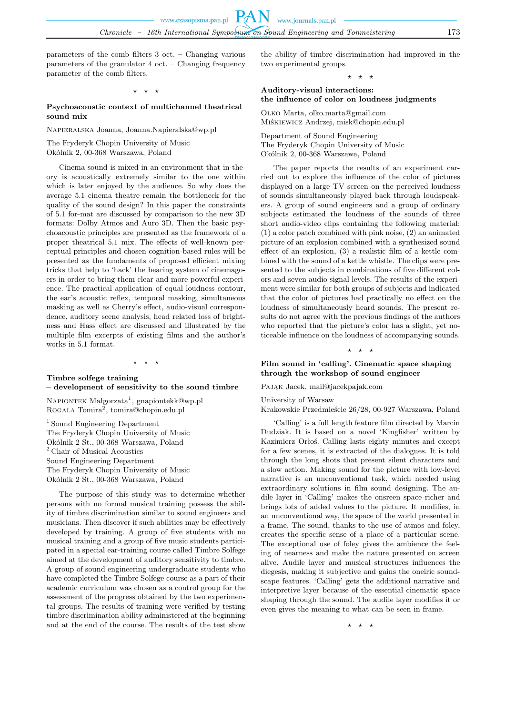parameters of the comb filters 3 oct. – Changing various parameters of the granulator 4 oct. – Changing frequency parameter of the comb filters.

⋆ ⋆ ⋆

### **Psychoacoustic context of multichannel theatrical sound mix**

Napieralska Joanna, Joanna.Napieralska@wp.pl

The Fryderyk Chopin University of Music

Okólnik 2, 00-368 Warszawa, Poland

Cinema sound is mixed in an environment that in theory is acoustically extremely similar to the one within which is later enjoyed by the audience. So why does the average 5.1 cinema theatre remain the bottleneck for the quality of the sound design? In this paper the constraints of 5.1 for-mat are discussed by comparison to the new 3D formats: Dolby Atmos and Auro 3D. Then the basic psychoacoustic principles are presented as the framework of a proper theatrical 5.1 mix. The effects of well-known perceptual principles and chosen cognition-based rules will be presented as the fundaments of proposed efficient mixing tricks that help to 'hack' the hearing system of cinemagoers in order to bring them clear and more powerful experience. The practical application of equal loudness contour, the ear's acoustic reflex, temporal masking, simultaneous masking as well as Cherry's effect, audio-visual correspondence, auditory scene analysis, head related loss of brightness and Hass effect are discussed and illustrated by the multiple film excerpts of existing films and the author's works in 5.1 format.

# **Timbre solfege training**

### **– development of sensitivity to the sound timbre**

⋆ ⋆ ⋆

NAPIONTEK Małgorzata<sup>1</sup>, gnapiontekk@wp.pl ROGALA Tomira<sup>2</sup>, tomira@chopin.edu.pl

<sup>1</sup> Sound Engineering Department The Fryderyk Chopin University of Music Okólnik 2 St., 00-368 Warszawa, Poland  $^{\rm 2}$  Chair of Musical Acoustics Sound Engineering Department The Fryderyk Chopin University of Music Okólnik 2 St., 00-368 Warszawa, Poland

The purpose of this study was to determine whether persons with no formal musical training possess the ability of timbre discrimination similar to sound engineers and musicians. Then discover if such abilities may be effectively developed by training. A group of five students with no musical training and a group of five music students participated in a special ear-training course called Timbre Solfege aimed at the development of auditory sensitivity to timbre. A group of sound engineering undergraduate students who have completed the Timbre Solfege course as a part of their academic curriculum was chosen as a control group for the assessment of the progress obtained by the two experimental groups. The results of training were verified by testing timbre discrimination ability administered at the beginning and at the end of the course. The results of the test show the ability of timbre discrimination had improved in the two experimental groups.

 $\star$ 

# **Auditory-visual interactions: the influence of color on loudness judgments**

Olko Marta, olko.marta@gmail.com Miśkiewicz Andrzej, misk@chopin.edu.pl

Department of Sound Engineering The Fryderyk Chopin University of Music Okólnik 2, 00-368 Warszawa, Poland

The paper reports the results of an experiment carried out to explore the influence of the color of pictures displayed on a large TV screen on the perceived loudness of sounds simultaneously played back through loudspeakers. A group of sound engineers and a group of ordinary subjects estimated the loudness of the sounds of three short audio-video clips containing the following material: (1) a color patch combined with pink noise, (2) an animated picture of an explosion combined with a synthesized sound effect of an explosion, (3) a realistic film of a kettle combined with the sound of a kettle whistle. The clips were presented to the subjects in combinations of five different colors and seven audio signal levels. The results of the experiment were similar for both groups of subjects and indicated that the color of pictures had practically no effect on the loudness of simultaneously heard sounds. The present results do not agree with the previous findings of the authors who reported that the picture's color has a slight, yet noticeable influence on the loudness of accompanying sounds.

⋆ ⋆ ⋆

### **Film sound in 'calling'. Cinematic space shaping through the workshop of sound engineer**

# PAJAK Jacek, mail@jacekpajak.com

### University of Warsaw

Krakowskie Przedmieście 26/28, 00-927 Warszawa, Poland

'Calling' is a full length feature film directed by Marcin Dudziak. It is based on a novel 'Kingfisher' written by Kazimierz Orłoś. Calling lasts eighty minutes and except for a few scenes, it is extracted of the dialogues. It is told through the long shots that present silent characters and a slow action. Making sound for the picture with low-level narrative is an unconventional task, which needed using extraordinary solutions in film sound designing. The audile layer in 'Calling' makes the onsreen space richer and brings lots of added values to the picture. It modifies, in an unconventional way, the space of the world presented in a frame. The sound, thanks to the use of atmos and foley, creates the specific sense of a place of a particular scene. The exceptional use of foley gives the ambience the feeling of nearness and make the nature presented on screen alive. Audile layer and musical structures influences the diegesis, making it subjective and gains the oneiric soundscape features. 'Calling' gets the additional narrative and interpretive layer because of the essential cinematic space shaping through the sound. The audile layer modifies it or even gives the meaning to what can be seen in frame.

⋆ ⋆ ⋆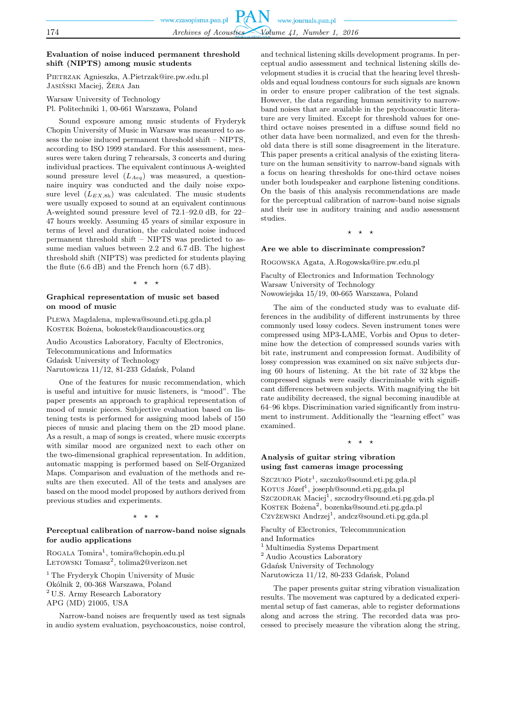# **Evaluation of noise induced permanent threshold shift (NIPTS) among music students**

Pietrzak Agnieszka, A.Pietrzak@ire.pw.edu.pl Jasiński Maciej, Żera Jan

Warsaw University of Technology Pl. Politechniki 1, 00-661 Warszawa, Poland

Sound exposure among music students of Fryderyk Chopin University of Music in Warsaw was measured to assess the noise induced permanent threshold shift – NIPTS, according to ISO 1999 standard. For this assessment, measures were taken during 7 rehearsals, 3 concerts and during individual practices. The equivalent continuous A-weighted sound pressure level  $(L_{Aeq})$  was measured, a questionnaire inquiry was conducted and the daily noise exposure level  $(L_{EX,8h})$  was calculated. The music students were usually exposed to sound at an equivalent continuous A-weighted sound pressure level of 72.1–92.0 dB, for 22– 47 hours weekly. Assuming 45 years of similar exposure in terms of level and duration, the calculated noise induced permanent threshold shift – NIPTS was predicted to assume median values between 2.2 and 6.7 dB. The highest threshold shift (NIPTS) was predicted for students playing the flute (6.6 dB) and the French horn (6.7 dB).

### ⋆ ⋆ ⋆

### **Graphical representation of music set based on mood of music**

Plewa Magdalena, mplewa@sound.eti.pg.gda.pl Kostek Bożena, bokostek@audioacoustics.org

Audio Acoustics Laboratory, Faculty of Electronics, Telecommunications and Informatics Gdańsk University of Technology Narutowicza 11/12, 81-233 Gdańsk, Poland

One of the features for music recommendation, which is useful and intuitive for music listeners, is "mood". The paper presents an approach to graphical representation of mood of music pieces. Subjective evaluation based on listening tests is performed for assigning mood labels of 150 pieces of music and placing them on the 2D mood plane. As a result, a map of songs is created, where music excerpts with similar mood are organized next to each other on the two-dimensional graphical representation. In addition, automatic mapping is performed based on Self-Organized Maps. Comparison and evaluation of the methods and results are then executed. All of the tests and analyses are based on the mood model proposed by authors derived from previous studies and experiments.

### ⋆ ⋆ ⋆

### **Perceptual calibration of narrow-band noise signals for audio applications**

ROGALA Tomira<sup>1</sup>, tomira@chopin.edu.pl LETOWSKI Tomasz<sup>2</sup>, tolima2@verizon.net

<sup>1</sup> The Fryderyk Chopin University of Music Okólnik 2, 00-368 Warszawa, Poland <sup>2</sup> U.S. Army Research Laboratory APG (MD) 21005, USA

Narrow-band noises are frequently used as test signals in audio system evaluation, psychoacoustics, noise control,

and technical listening skills development programs. In perceptual audio assessment and technical listening skills development studies it is crucial that the hearing level thresholds and equal loudness contours for such signals are known in order to ensure proper calibration of the test signals. However, the data regarding human sensitivity to narrowband noises that are available in the psychoacoustic literature are very limited. Except for threshold values for onethird octave noises presented in a diffuse sound field no other data have been normalized, and even for the threshold data there is still some disagreement in the literature. This paper presents a critical analysis of the existing literature on the human sensitivity to narrow-band signals with a focus on hearing thresholds for one-third octave noises under both loudspeaker and earphone listening conditions. On the basis of this analysis recommendations are made for the perceptual calibration of narrow-band noise signals and their use in auditory training and audio assessment studies.

 $\rightarrow$ 

### **Are we able to discriminate compression?**

Rogowska Agata, A.Rogowska@ire.pw.edu.pl

Faculty of Electronics and Information Technology Warsaw University of Technology Nowowiejska 15/19, 00-665 Warszawa, Poland

The aim of the conducted study was to evaluate differences in the audibility of different instruments by three commonly used lossy codecs. Seven instrument tones were compressed using MP3-LAME, Vorbis and Opus to determine how the detection of compressed sounds varies with bit rate, instrument and compression format. Audibility of lossy compression was examined on six naïve subjects during 60 hours of listening. At the bit rate of 32 kbps the compressed signals were easily discriminable with significant differences between subjects. With magnifying the bit rate audibility decreased, the signal becoming inaudible at 64–96 kbps. Discrimination varied significantly from instrument to instrument. Additionally the "learning effect" was examined.

### ⋆ ⋆ ⋆

### **Analysis of guitar string vibration using fast cameras image processing**

Szczuko Piotr<sup>1</sup>, szczuko@sound.eti.pg.gda.pl Korus Józef<sup>1</sup>, joseph@sound.eti.pg.gda.pl Szczodrak Maciej<sup>1</sup>, szczodry@sound.eti.pg.gda.pl KOSTEK Bożena<sup>2</sup>, bozenka@sound.eti.pg.gda.pl Czyżewski Andrzej<sup>1</sup>, andcz@sound.eti.pg.gda.pl

Faculty of Electronics, Telecommunication and Informatics  $^{\rm 1}$  Multimedia Systems Department  $^2$  Audio Acoustics Laboratory Gdańsk University of Technology Narutowicza 11/12, 80-233 Gdańsk, Poland

The paper presents guitar string vibration visualization results. The movement was captured by a dedicated experimental setup of fast cameras, able to register deformations along and across the string. The recorded data was processed to precisely measure the vibration along the string,